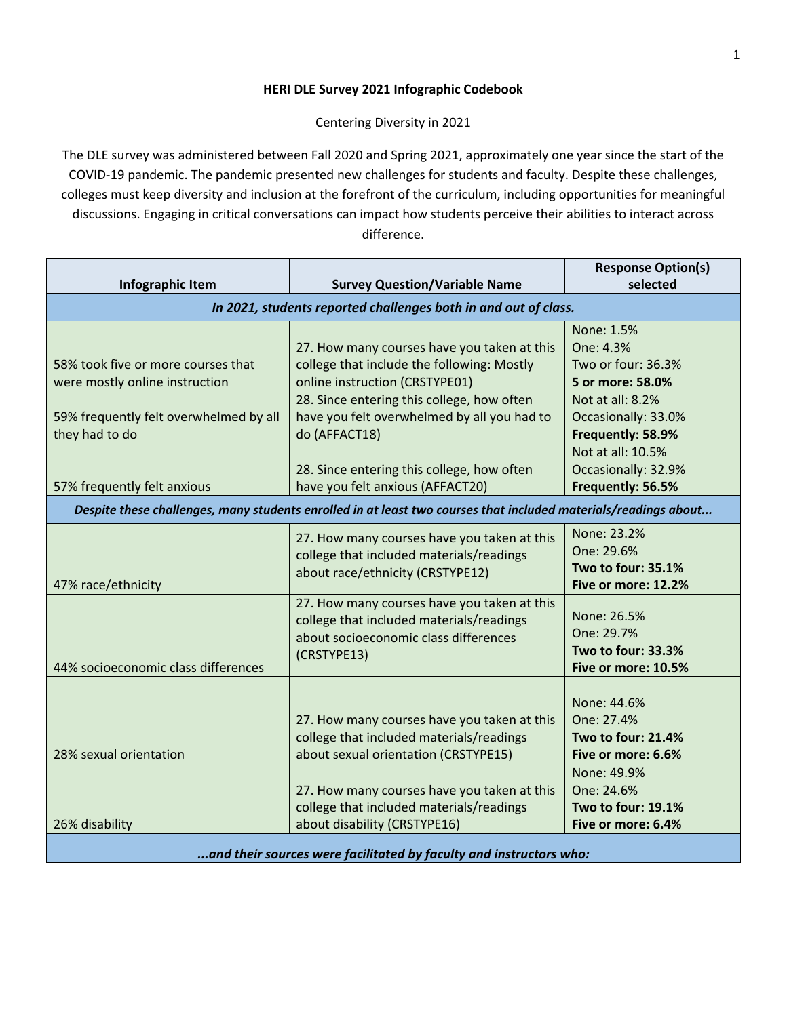## **HERI DLE Survey 2021 Infographic Codebook**

Centering Diversity in 2021

The DLE survey was administered between Fall 2020 and Spring 2021, approximately one year since the start of the COVID-19 pandemic. The pandemic presented new challenges for students and faculty. Despite these challenges, colleges must keep diversity and inclusion at the forefront of the curriculum, including opportunities for meaningful discussions. Engaging in critical conversations can impact how students perceive their abilities to interact across difference.

|                                                                                                                                                                 |                                                                                                                                                                                                                                                                                                                             | <b>Response Option(s)</b>                                                                                                                                                                          |  |
|-----------------------------------------------------------------------------------------------------------------------------------------------------------------|-----------------------------------------------------------------------------------------------------------------------------------------------------------------------------------------------------------------------------------------------------------------------------------------------------------------------------|----------------------------------------------------------------------------------------------------------------------------------------------------------------------------------------------------|--|
| Infographic Item                                                                                                                                                | <b>Survey Question/Variable Name</b>                                                                                                                                                                                                                                                                                        | selected                                                                                                                                                                                           |  |
| In 2021, students reported challenges both in and out of class.                                                                                                 |                                                                                                                                                                                                                                                                                                                             |                                                                                                                                                                                                    |  |
| 58% took five or more courses that<br>were mostly online instruction<br>59% frequently felt overwhelmed by all<br>they had to do<br>57% frequently felt anxious | 27. How many courses have you taken at this<br>college that include the following: Mostly<br>online instruction (CRSTYPE01)<br>28. Since entering this college, how often<br>have you felt overwhelmed by all you had to<br>do (AFFACT18)<br>28. Since entering this college, how often<br>have you felt anxious (AFFACT20) | None: 1.5%<br>One: 4.3%<br>Two or four: 36.3%<br>5 or more: 58.0%<br>Not at all: 8.2%<br>Occasionally: 33.0%<br>Frequently: 58.9%<br>Not at all: 10.5%<br>Occasionally: 32.9%<br>Frequently: 56.5% |  |
| Despite these challenges, many students enrolled in at least two courses that included materials/readings about                                                 |                                                                                                                                                                                                                                                                                                                             |                                                                                                                                                                                                    |  |
| 47% race/ethnicity                                                                                                                                              | 27. How many courses have you taken at this<br>college that included materials/readings<br>about race/ethnicity (CRSTYPE12)                                                                                                                                                                                                 | None: 23.2%<br>One: 29.6%<br>Two to four: 35.1%<br>Five or more: 12.2%                                                                                                                             |  |
| 44% socioeconomic class differences                                                                                                                             | 27. How many courses have you taken at this<br>college that included materials/readings<br>about socioeconomic class differences<br>(CRSTYPE13)                                                                                                                                                                             | None: 26.5%<br>One: 29.7%<br>Two to four: 33.3%<br>Five or more: 10.5%                                                                                                                             |  |
| 28% sexual orientation                                                                                                                                          | 27. How many courses have you taken at this<br>college that included materials/readings<br>about sexual orientation (CRSTYPE15)<br>27. How many courses have you taken at this                                                                                                                                              | None: 44.6%<br>One: 27.4%<br><b>Two to four: 21.4%</b><br>Five or more: 6.6%<br>None: 49.9%<br>One: 24.6%                                                                                          |  |
| 26% disability                                                                                                                                                  | college that included materials/readings<br>about disability (CRSTYPE16)                                                                                                                                                                                                                                                    | Two to four: 19.1%<br>Five or more: 6.4%                                                                                                                                                           |  |
| and their courses were facilitated by faculty and instructors who:                                                                                              |                                                                                                                                                                                                                                                                                                                             |                                                                                                                                                                                                    |  |

*...and their sources were facilitated by faculty and instructors who:*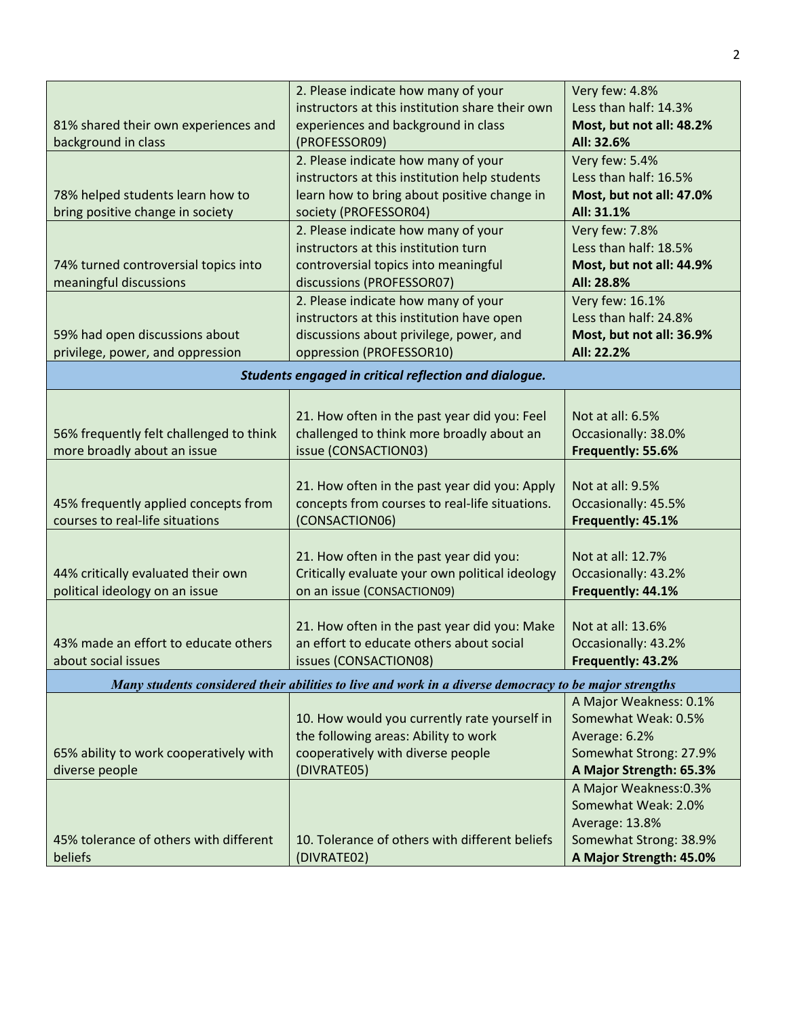|                                                       | 2. Please indicate how many of your                                                                    | Very few: 4.8%           |  |
|-------------------------------------------------------|--------------------------------------------------------------------------------------------------------|--------------------------|--|
|                                                       | instructors at this institution share their own                                                        | Less than half: 14.3%    |  |
| 81% shared their own experiences and                  | experiences and background in class                                                                    | Most, but not all: 48.2% |  |
| background in class                                   | (PROFESSOR09)                                                                                          | All: 32.6%               |  |
|                                                       | 2. Please indicate how many of your                                                                    | Very few: 5.4%           |  |
|                                                       | instructors at this institution help students                                                          | Less than half: 16.5%    |  |
| 78% helped students learn how to                      | learn how to bring about positive change in                                                            | Most, but not all: 47.0% |  |
| bring positive change in society                      | society (PROFESSOR04)                                                                                  | All: 31.1%               |  |
|                                                       | 2. Please indicate how many of your                                                                    | Very few: 7.8%           |  |
|                                                       | instructors at this institution turn                                                                   | Less than half: 18.5%    |  |
| 74% turned controversial topics into                  | controversial topics into meaningful                                                                   | Most, but not all: 44.9% |  |
| meaningful discussions                                | discussions (PROFESSOR07)                                                                              | All: 28.8%               |  |
|                                                       | 2. Please indicate how many of your                                                                    | Very few: 16.1%          |  |
|                                                       | instructors at this institution have open                                                              | Less than half: 24.8%    |  |
| 59% had open discussions about                        | discussions about privilege, power, and                                                                | Most, but not all: 36.9% |  |
| privilege, power, and oppression                      | oppression (PROFESSOR10)                                                                               | All: 22.2%               |  |
| Students engaged in critical reflection and dialogue. |                                                                                                        |                          |  |
|                                                       |                                                                                                        |                          |  |
|                                                       | 21. How often in the past year did you: Feel                                                           | Not at all: 6.5%         |  |
| 56% frequently felt challenged to think               | challenged to think more broadly about an                                                              | Occasionally: 38.0%      |  |
| more broadly about an issue                           | issue (CONSACTION03)                                                                                   | Frequently: 55.6%        |  |
|                                                       |                                                                                                        |                          |  |
|                                                       | 21. How often in the past year did you: Apply                                                          | Not at all: 9.5%         |  |
| 45% frequently applied concepts from                  | concepts from courses to real-life situations.                                                         | Occasionally: 45.5%      |  |
| courses to real-life situations                       | (CONSACTION06)                                                                                         | Frequently: 45.1%        |  |
|                                                       |                                                                                                        |                          |  |
|                                                       | 21. How often in the past year did you:                                                                | Not at all: 12.7%        |  |
| 44% critically evaluated their own                    | Critically evaluate your own political ideology                                                        | Occasionally: 43.2%      |  |
| political ideology on an issue                        | on an issue (CONSACTION09)                                                                             | Frequently: 44.1%        |  |
|                                                       |                                                                                                        |                          |  |
|                                                       | 21. How often in the past year did you: Make<br>an effort to educate others about social               | Not at all: 13.6%        |  |
| 43% made an effort to educate others                  |                                                                                                        | Occasionally: 43.2%      |  |
| about social issues                                   | issues (CONSACTION08)                                                                                  | Frequently: 43.2%        |  |
|                                                       | Many students considered their abilities to live and work in a diverse democracy to be major strengths |                          |  |
|                                                       |                                                                                                        | A Major Weakness: 0.1%   |  |
|                                                       | 10. How would you currently rate yourself in                                                           | Somewhat Weak: 0.5%      |  |
|                                                       | the following areas: Ability to work                                                                   | Average: 6.2%            |  |
| 65% ability to work cooperatively with                | cooperatively with diverse people                                                                      | Somewhat Strong: 27.9%   |  |
| diverse people                                        | (DIVRATE05)                                                                                            | A Major Strength: 65.3%  |  |
|                                                       |                                                                                                        | A Major Weakness: 0.3%   |  |
|                                                       |                                                                                                        | Somewhat Weak: 2.0%      |  |
|                                                       |                                                                                                        | Average: 13.8%           |  |
| 45% tolerance of others with different                | 10. Tolerance of others with different beliefs                                                         | Somewhat Strong: 38.9%   |  |
| beliefs                                               | (DIVRATE02)                                                                                            | A Major Strength: 45.0%  |  |